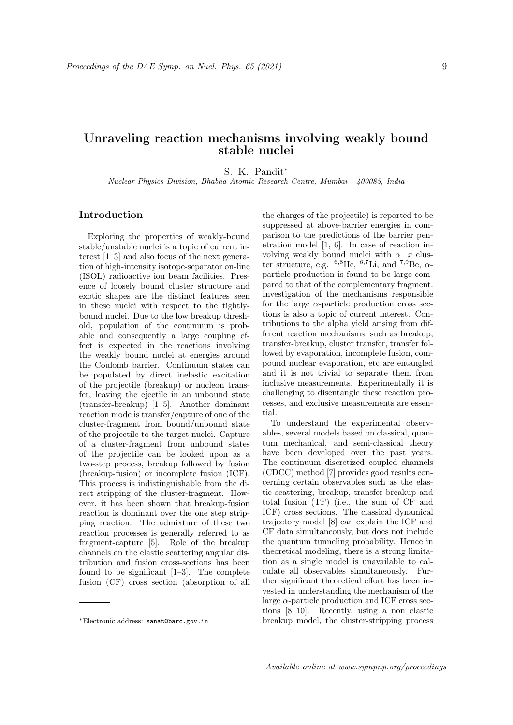## Unraveling reaction mechanisms involving weakly bound stable nuclei

S. K. Pandit<sup>∗</sup>

Nuclear Physics Division, Bhabha Atomic Research Centre, Mumbai - 400085, India

## Introduction

Exploring the properties of weakly-bound stable/unstable nuclei is a topic of current interest [1–3] and also focus of the next generation of high-intensity isotope-separator on-line (ISOL) radioactive ion beam facilities. Presence of loosely bound cluster structure and exotic shapes are the distinct features seen in these nuclei with respect to the tightlybound nuclei. Due to the low breakup threshold, population of the continuum is probable and consequently a large coupling effect is expected in the reactions involving the weakly bound nuclei at energies around the Coulomb barrier. Continuum states can be populated by direct inelastic excitation of the projectile (breakup) or nucleon transfer, leaving the ejectile in an unbound state (transfer-breakup) [1–5]. Another dominant reaction mode is transfer/capture of one of the cluster-fragment from bound/unbound state of the projectile to the target nuclei. Capture of a cluster-fragment from unbound states of the projectile can be looked upon as a two-step process, breakup followed by fusion (breakup-fusion) or incomplete fusion (ICF). This process is indistinguishable from the direct stripping of the cluster-fragment. However, it has been shown that breakup-fusion reaction is dominant over the one step stripping reaction. The admixture of these two reaction processes is generally referred to as fragment-capture [5]. Role of the breakup channels on the elastic scattering angular distribution and fusion cross-sections has been found to be significant [1–3]. The complete fusion (CF) cross section (absorption of all

the charges of the projectile) is reported to be suppressed at above-barrier energies in comparison to the predictions of the barrier penetration model [1, 6]. In case of reaction involving weakly bound nuclei with  $\alpha+x$  cluster structure, e.g.  $^{6,8}$ He,  $^{6,7}$ Li, and  $^{7,9}$ Be,  $\alpha$ particle production is found to be large compared to that of the complementary fragment. Investigation of the mechanisms responsible for the large  $\alpha$ -particle production cross sections is also a topic of current interest. Contributions to the alpha yield arising from different reaction mechanisms, such as breakup, transfer-breakup, cluster transfer, transfer followed by evaporation, incomplete fusion, compound nuclear evaporation, etc are entangled and it is not trivial to separate them from inclusive measurements. Experimentally it is challenging to disentangle these reaction processes, and exclusive measurements are essential.

To understand the experimental observables, several models based on classical, quantum mechanical, and semi-classical theory have been developed over the past years. The continuum discretized coupled channels (CDCC) method [7] provides good results concerning certain observables such as the elastic scattering, breakup, transfer-breakup and total fusion (TF) (i.e., the sum of CF and ICF) cross sections. The classical dynamical trajectory model [8] can explain the ICF and CF data simultaneously, but does not include the quantum tunneling probability. Hence in theoretical modeling, there is a strong limitation as a single model is unavailable to calculate all observables simultaneously. Further significant theoretical effort has been invested in understanding the mechanism of the large  $\alpha$ -particle production and ICF cross sections [8–10]. Recently, using a non elastic breakup model, the cluster-stripping process

<sup>∗</sup>Electronic address: sanat@barc.gov.in